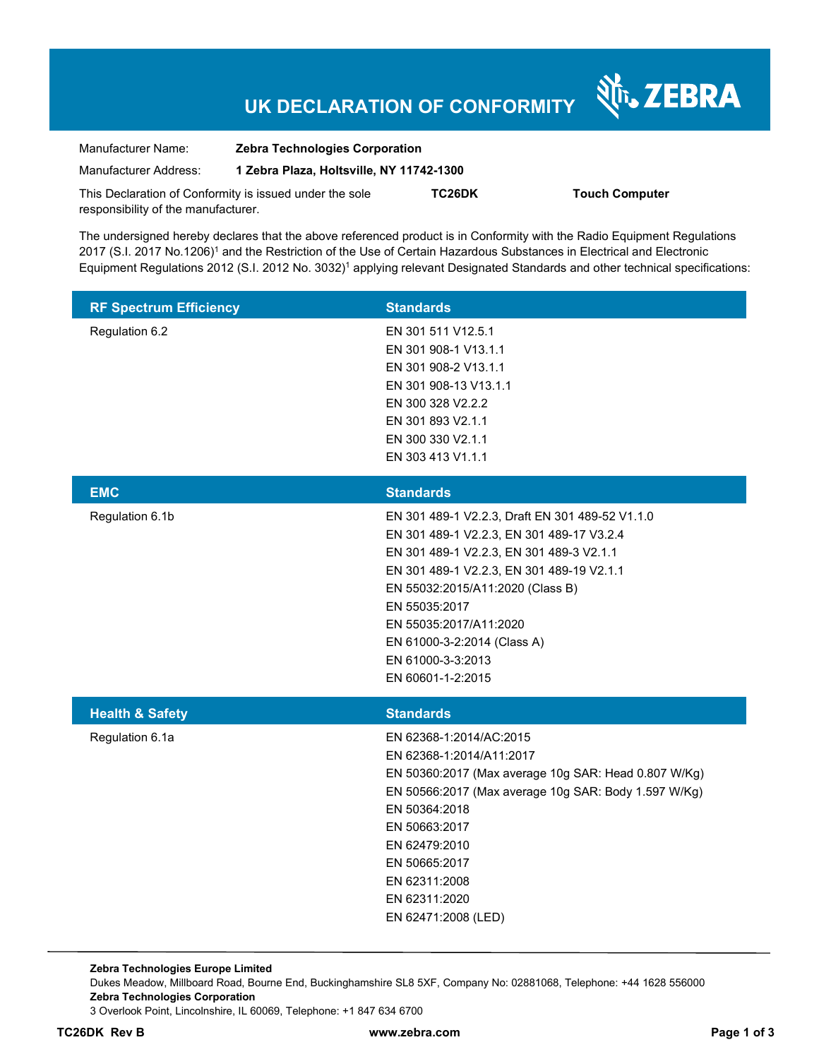# **UK DECLARATION OF CONFORMITY**

Nr. ZEBRA

| Manufacturer Name:                                      | <b>Zebra Technologies Corporation</b>    |        |                       |  |
|---------------------------------------------------------|------------------------------------------|--------|-----------------------|--|
| Manufacturer Address:                                   | 1 Zebra Plaza, Holtsville, NY 11742-1300 |        |                       |  |
| This Declaration of Conformity is issued under the sole |                                          | TC26DK | <b>Touch Computer</b> |  |
| responsibility of the manufacturer.                     |                                          |        |                       |  |

The undersigned hereby declares that the above referenced product is in Conformity with the Radio Equipment Regulations 2017 (S.I. 2017 No.1206)<sup>1</sup> and the Restriction of the Use of Certain Hazardous Substances in Electrical and Electronic Equipment Regulations 2012 (S.I. 2012 No. 3032)<sup>1</sup> applying relevant Designated Standards and other technical specifications:

| <b>RF Spectrum Efficiency</b> | <b>Standards</b>                                                                                                                                                                                                                                                                                                                              |
|-------------------------------|-----------------------------------------------------------------------------------------------------------------------------------------------------------------------------------------------------------------------------------------------------------------------------------------------------------------------------------------------|
| Regulation 6.2                | EN 301 511 V12.5.1<br>EN 301 908-1 V13.1.1<br>EN 301 908-2 V13.1.1<br>EN 301 908-13 V13.1.1<br>EN 300 328 V2.2.2<br>EN 301 893 V2.1.1<br>EN 300 330 V2.1.1<br>EN 303 413 V1.1.1                                                                                                                                                               |
| <b>EMC</b>                    | <b>Standards</b>                                                                                                                                                                                                                                                                                                                              |
| Regulation 6.1b               | EN 301 489-1 V2.2.3, Draft EN 301 489-52 V1.1.0<br>EN 301 489-1 V2.2.3, EN 301 489-17 V3.2.4<br>EN 301 489-1 V2.2.3, EN 301 489-3 V2.1.1<br>EN 301 489-1 V2.2.3, EN 301 489-19 V2.1.1<br>EN 55032:2015/A11:2020 (Class B)<br>EN 55035:2017<br>EN 55035:2017/A11:2020<br>EN 61000-3-2:2014 (Class A)<br>EN 61000-3-3:2013<br>EN 60601-1-2:2015 |
| <b>Health &amp; Safety</b>    | <b>Standards</b>                                                                                                                                                                                                                                                                                                                              |
| Regulation 6.1a               | EN 62368-1:2014/AC:2015<br>EN 62368-1:2014/A11:2017<br>EN 50360:2017 (Max average 10g SAR: Head 0.807 W/Kg)<br>EN 50566:2017 (Max average 10g SAR: Body 1.597 W/Kg)<br>EN 50364:2018<br>EN 50663:2017<br>EN 62479:2010<br>EN 50665:2017<br>EN 62311:2008<br>EN 62311:2020<br>EN 62471:2008 (LED)                                              |

**Zebra Technologies Europe Limited**  Dukes Meadow, Millboard Road, Bourne End, Buckinghamshire SL8 5XF, Company No: 02881068, Telephone: +44 1628 556000 **Zebra Technologies Corporation**  3 Overlook Point, Lincolnshire, IL 60069, Telephone: +1 847 634 6700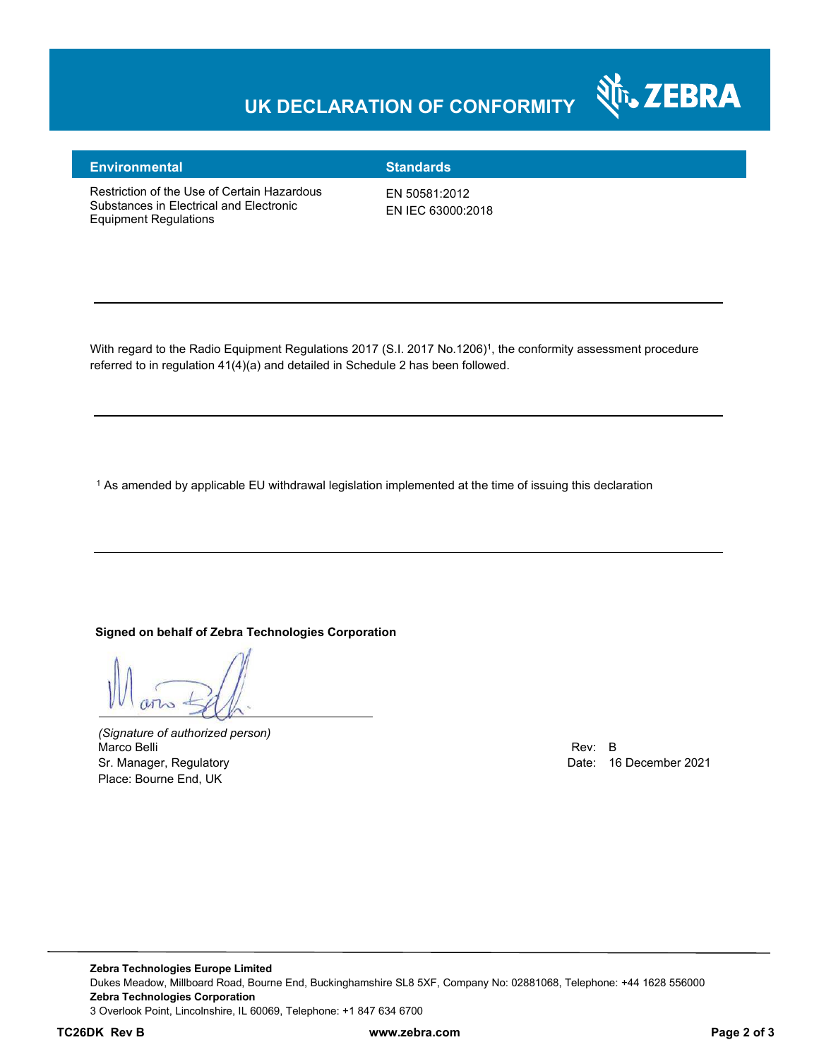### **UK DECLARATION OF CONFORMITY**



#### **Environmental Standards**

Restriction of the Use of Certain Hazardous Substances in Electrical and Electronic Equipment Regulations

EN 50581:2012 EN IEC 63000:2018

With regard to the Radio Equipment Regulations 2017 (S.I. 2017 No.1206)<sup>1</sup>, the conformity assessment procedure referred to in regulation 41(4)(a) and detailed in Schedule 2 has been followed.

 $^{\rm 1}$  As amended by applicable EU withdrawal legislation implemented at the time of issuing this declaration

#### **Signed on behalf of Zebra Technologies Corporation**

*(Signature of authorized person)* Marco Belli Rev: B هات المستوى المستوى المستوى المستوى المستوى المستوى المستوى المستوى المستوى المستوى المستوى المستوى المستوى المستوى المستوى المستوى المستوى المستوى المستوى المستوى المستوى المستوى المستوى المستوى المستوى Sr. Manager, Regulatory **Date: 16 December 2021 Date: 16 December 2021** Place: Bourne End, UK